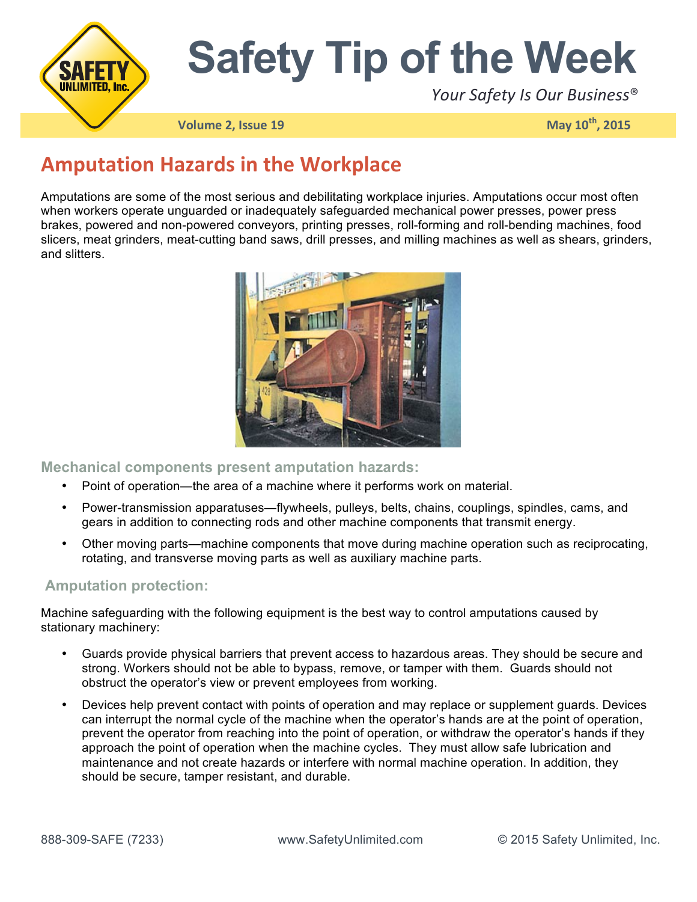

## **Safety Tip of the Week**

*Your Safety Is Our Business*®

**Volume 2, Issue 19 May 10**<sup>th</sup>, 2015

## **Amputation Hazards in the Workplace**

Amputations are some of the most serious and debilitating workplace injuries. Amputations occur most often when workers operate unguarded or inadequately safeguarded mechanical power presses, power press brakes, powered and non-powered conveyors, printing presses, roll-forming and roll-bending machines, food slicers, meat grinders, meat-cutting band saws, drill presses, and milling machines as well as shears, grinders, and slitters.



**Mechanical components present amputation hazards:**

- Point of operation—the area of a machine where it performs work on material.
- Power-transmission apparatuses—flywheels, pulleys, belts, chains, couplings, spindles, cams, and gears in addition to connecting rods and other machine components that transmit energy.
- Other moving parts—machine components that move during machine operation such as reciprocating, rotating, and transverse moving parts as well as auxiliary machine parts.

## **Amputation protection:**

Machine safeguarding with the following equipment is the best way to control amputations caused by stationary machinery:

- Guards provide physical barriers that prevent access to hazardous areas. They should be secure and strong. Workers should not be able to bypass, remove, or tamper with them. Guards should not obstruct the operator's view or prevent employees from working.
- Devices help prevent contact with points of operation and may replace or supplement guards. Devices can interrupt the normal cycle of the machine when the operator's hands are at the point of operation, prevent the operator from reaching into the point of operation, or withdraw the operator's hands if they approach the point of operation when the machine cycles. They must allow safe lubrication and maintenance and not create hazards or interfere with normal machine operation. In addition, they should be secure, tamper resistant, and durable.